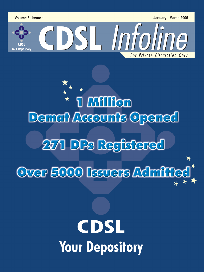Volume 6 Issue 1

**Your Depository** 

January - March 2005

For Private Circulation Only

 $\begin{array}{cc} \stackrel{\star}{\star} & \star \\ \star & \text{I} & \text{MIIfon} \end{array}$ Demail Accounts Opened 271 DPs Registered Over 5000 Issuers Adminied

CDSL Infoline

# **CDSL Your Depository**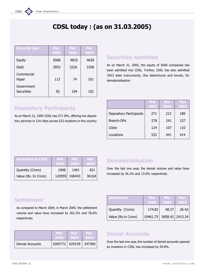# CDSL today : (as on 31.03.2005)

| <b>Security type</b>     | Mar<br>2005 | <b>Mar</b><br>2004 | <b>Mar</b><br>2003 |
|--------------------------|-------------|--------------------|--------------------|
| Equity                   | 5068        | 4810               | 4628               |
| Debt                     | 3953        | 3226               | 2358               |
| Commercial<br>Paper      | 113         | 74                 | 101                |
| Government<br>Securities | 92          | 104                | 102                |

# Depository Participants

As on March 31, 2005 CDSL has 271 DPs, offering live depository services in 124 cities across 532 locations in the country.

# Securities Admitted

As on March 31, 2005, the equity of 5068 companies has been admitted into CDSL. Further, CDSL has also admitted 3953 debt instruments, like debentures and bonds, for dematerialisation.

|                                | Mar  | Mar  | Mar  |
|--------------------------------|------|------|------|
|                                | 2005 | 2004 | 2003 |
| <b>Depository Participants</b> | 271  | 212  | 189  |
| <b>Branch-DPs</b>              | 278  | 241  | 237  |
| Cities                         | 124  | 107  | 110  |
| Locations                      | 532  | 441  | 414  |

| <b>Securities in CDSL</b> | <b>Mar</b><br>2005 | <b>Mar</b><br>2004 | Mar<br>2003 |
|---------------------------|--------------------|--------------------|-------------|
| Quantity (Crore)          | 1908               | 1401               | 821         |
| Value (Rs. In Crore)      | 120959             | 106443             | 36164       |

# Dematerialisation

Over the last one year, the demat volume and value have increased by 36.2% and 13.6% respectively.

Settlement Nar Mar Mar Mar

Quantity (Crore) | 174.82 48.27 26.42

Value (Rs.in Crore) | 10461.75 | 5858.42 | 2415.34

2005 2004 2003

# **Settlement**

As compared to March 2004, in March 2005, the settlement volume and value have increased by 262.2% and 78.6% respectively.

|                | <b>Mar</b>                | Mar   | Mar       |
|----------------|---------------------------|-------|-----------|
|                | 2005                      | -2004 | <b>DE</b> |
| Demat Accounts | 1005772   629159   247369 |       |           |

# Demat Accounts

Over the last one year, the number of demat accounts opened by investors in CDSL has increased by 59.8%.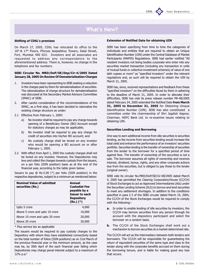# What's New?

# Shifting of CDSL's premises

On March 27, 2005, CDSL has relocated its office to the 16th & 17th Floors, Phiroze Jeejeebhoy Towers, Dalal Street, Fort, Mumbai 400 023. Investors and all associates are requested to address any correspondence to the aforementioned address. There is, however, no change in the telephone and fax numbers.

# SEBI Circular No. MRD/DoP/SE/Dep/Cir-4/2005 Dated January 28, 2005 On Review Of Dematerialisation Charges

- 1. Investors have been representing to SEBI seeking a reduction in the charges paid by them for dematerialisation of securities. The rationalization of charge structure for dematerialisation was discussed at the Secondary Market Advisory Committee (SMAC) of SEBI.
- 2. After careful consideration of the recommendations of the SMAC, as a first step, it has been decided to rationalize the existing charge structure as under:
- 2.1 Effective from February 1, 2005:
	- a) No investor shall be required to pay any charge towards opening of a Beneficiary Owner (BO) Account except for statutory charges as may be applicable;
	- b) No investor shall be required to pay any charge for credit of securities into his/her BO account; and
	- c) No custody charge shall be levied on any investor who would be opening a BO account on or after February 1, 2005.
- 2.2 With effect from April 1, 2005 the custody charges shall not be levied on any investor. However, the Depositories may levy and collect the charges towards custody from the issuers, on a per folio (ISIN position) basis as at the end of the financial year, according to the table given below:

Issuers to pay @ Rs.5.00 (\*) per folio (ISIN position) in the respective depositories, subject to a minimum as mentioned below:

| <b>Nominal Value of admitted</b><br>securities (Rs.) | Annual<br><b>Custodial Fee</b><br>payable by a<br><b>Issuer to each</b><br><b>Depository</b><br>$(Rs.)$ $(*)$ |
|------------------------------------------------------|---------------------------------------------------------------------------------------------------------------|
| Upto 5 crore                                         | 4,000                                                                                                         |
| Above 5 crore and upto 10 crore                      | 10,000                                                                                                        |
| Above 10 crore and upto 20 crore                     | 20,000                                                                                                        |
| Above 20 crore                                       | 30,000                                                                                                        |

\* Plus service tax as applicable

The issuers would be required to pay custody charges to the Depository with whom they have established connectivity based on the total number of folios (ISIN positions) as on 31st March of the previous financial year or the minimum amount, as the case may be, by 30th April of the each financial year failing which Depositories may charge penal interest subject to a maximum of 12% p.a.

# Extension of Notified Date for obtaining UIN

SEBI has been specifying from time to time the categories of individuals and entities that are required to obtain an Unique Identification Number (UIN) under the Central Database of Market Participants (MAPIN) Regulations. SEBI had earlier notified "All resident investors not being bodies corporate who enter into any securities market transaction (including any transaction in units of mutual funds or collective investment schemes) of value of one lakh rupees or more" as "specified investors" under the relevant regulations and, as such will be required to obtain the UIN by March 31, 2005.

Your Depository

SEBI has, since, received representations and feedback from these "specified investors" on the difficulties faced by them in adhering to the deadline of March 31, 2005. In order to alleviate their difficulties, SEBI has vide its press release number PR-48/2005 dated February 24, 2005 extended the Notified Date from March 31, 2005 to December 31, 2005 for Obtaining Unique Identification Number (UIN). SEBI has also constituted a committee under the chairmanship of Shri Jagdish Kapoor, Chairman, HDFC Bank Ltd. to re-examine issues relating to obtaining UIN.

# Securities Lending and Borrowing

One way to earn additional income from idle securities is securities lending, as fee income from securities lending would increase the total yield and enhance the performance of an investors' securities portfolio. Securities lending is the transfer of ownership of securities from the lender to the borrower for a specified period of time against fees. The transfer of ownership of the securities is not a sale. The borrower assumes all rights of ownership and receives interest, dividend, bonus, rights, and any other corporate actions due from the securities, but is obliged to pay these to the lender (original owner).

SEBI vide its circular No.MRD/DoP/SE/Cir-08/2005 dated March 4, 2005 has permitted the Clearing Corporation/House (CC/CH) of Stock Exchanges to act as Approved Intermediaries (AIs) under the Securities Lending Scheme (SLS) to borrow and lend securities to meet any settlement shortages. In addition to the conditions specified in para 2.3 of the SEBI circular dated March 19, 2004, the CC/CH of the Stock Exchanges would be required to comply with the following:-

- a. In order to enable lending of idle securities by investors, the CC/CH may borrow securities from any person through his account with the depository participant and select the borrower on a random basis.
- **b.** The CC/CH of the Stock Exchanges shall work out a mechanism to borrow securities at a market-determined rate.

The CC/CH will act as the intermediary between both lenders and borrowers. The CC/CH will be responsible for guaranteeing the return of equivalent securities of the same type and class to the lender along with the corporate benefits accrued on them during the borrowing tenure, and is liable for making good any loss that occurs.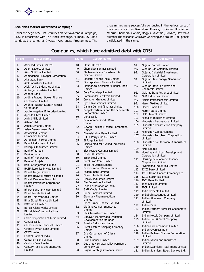# Securities Market Awareness Campaign

Under the aegis of SEBI's Securities Market Awareness Campaign, CDSL in association with The Stock Exchange, Mumbai (BSE) had conducted a series of Investor Awareness Programmes. The programmes were successfully conducted in the various parts of the country such as Bangalore, Mysore, Lucknow, Hoshiarpur, Meerut, Bhandara, Gondia, Nagpur, Yavatmal, Kolkata, Howrah & Mumbai.The response was over-whelming and around 1800 people participated in the same.

# Companies, which have admitted debt with CDSL

| Sr. No   | <b>Issuer Name</b>                                        | Sr. No     | <b>Issuer Name</b>                                  |      | Sr. No<br><b>Issuer Name</b>                                   |
|----------|-----------------------------------------------------------|------------|-----------------------------------------------------|------|----------------------------------------------------------------|
| 1.       | Aarti Industries Limited                                  | 48.        | <b>CESC LIMITED</b>                                 | 91.  | <b>Gujarat Borosil Limited</b>                                 |
| 2.       | Adani Exports Limited                                     | 49.        | Chemplast Sanmar Limited                            | 92.  | Gujarat Gas Company Limited                                    |
| 3.<br>4. | Aksh Optifibre Limited<br>Ahmedabad Municipal Corporation | 50.        | Cholamandalam Investment &<br><b>Finance Limied</b> | 93.  | Gujarat Industrial Investment<br><b>Corporation Limited</b>    |
| 5.       | Allahabad Bank                                            | 51.        | Citicorp Finance India Limited                      | 94.  | Gujarat State Energy Generation                                |
| 6.       | Alok Industries Limited                                   | 52.        | Citicorp Maruti Finance Limited                     |      | Limited                                                        |
| 7.       | Alok Textile Industries Limited                           | 53.        | Citifinancial Consumer Finance India                | 95.  | Gujarat State Fertilizers and                                  |
| 8.       | Amforge Industries Limited                                |            | Limited                                             |      | <b>Chemicals Limited</b>                                       |
| 9.       | Andhra Bank                                               | 54.        | Core Emballage Limited                              | 96.  | Gujarat State Petronet Limited                                 |
| 10.      | Andhra Pradesh Power Finance                              | 55.        | <b>Coromandel Fertilizers Limited</b>               | 97.  | <b>GVK Industries Limited</b>                                  |
|          | <b>Corporation Limited</b>                                | 56.        | Crompton Greaves Limited                            | 98.  | Haldia Petrochemicals Limited                                  |
| 11.      | Andhra Pradesh State Financial                            | 57.        | <b>Cyrus Investments Limited</b>                    | 99.  | Haren Textiles Limited                                         |
|          | Corporation                                               | 58.        | Dalmia Cement (Bharat) Limited                      |      | 100. Havells India Ltd                                         |
| 12.      | Apollo Hospitals Enterprise Limited                       | 59.        | Deepak Fertilisers and Petrochemicals               |      | 101. Hero Motors Limited                                       |
| 13.      | Appollo Fibres Limted                                     |            | <b>Corporation Limited</b>                          |      | 102. HFCL Infotel Limited                                      |
| 14.      | <b>Arvind Mills Limited</b>                               | 60.        | Dena Bank                                           |      | 103. Hindalco Industries Limited                               |
| 15.      | Ashima Ltd                                                | 61.        | Development Credit Bank                             |      | 104. Hindustan Aeronautics Limited                             |
| 16.      | Ashok Leyland Limited                                     |            | Limited                                             | 105. | Hindustan Construction Company                                 |
| 17.      | Asian Development Bank                                    | 62.        | Dewan Housing Finance Corporation<br>Limited        |      | Limited                                                        |
| 18.      | <b>Associated Cement</b>                                  |            | Dhanalakshmi Bank Limited                           |      | 106. Hindustan Copper Limited                                  |
|          | <b>Companies Limited</b>                                  | 63.<br>64. | E.I.D. Parry (India) Limited                        |      | 107. Hindustan Petroleum Corporation                           |
| 19.      | Aurobindo Pharma Limited                                  | 65.        | El Forge Limited                                    |      | Limited                                                        |
| 20.      | Bajaj Hindusthan Limited                                  | 66.        | Electro-Medical & Allied Industries                 |      | 108. Hindustan Sanitaryware & Industries                       |
| 21.      | <b>Ballarpur Industries Limited</b>                       |            | Limited                                             |      | Limited                                                        |
| 22.      | Bank of Baroda                                            | 67.        | Electrosteel Castings Limited                       |      | 109. HMT Limited                                               |
| 23.      | Bank of India                                             | 68.        | Essar Oil Limited                                   | 110. | Housing and Urban Development                                  |
| 24.      | Bank of Maharashtra                                       | 69.        | <b>Essar Steel Limited</b>                          |      | <b>Corporation Limited</b>                                     |
| 25.      | Bank of Punjab                                            | 70.        | Excel Crop Care Limited                             |      | 111. Housing Development Finance<br><b>Corporation Limited</b> |
| 26.      | Bank of Rajasthan Limited                                 | 71.        | <b>Excel Industries Limited</b>                     |      | 112. Hyderabad Industries Limited                              |
| 27.      | <b>BASF Styrenics Private Limited</b>                     | 72.        | Export-Import Bank of India                         |      | 113. ICICI Bank Limited                                        |
| 28.      | <b>Bharat Forge Limited</b>                               | 73.        | Federal Bank Limited                                |      | 114. ICICI Home Finance Company Ltd                            |
| 29.      | <b>Bharat Heavy Electricals Limited</b>                   | 74.        | Fibcom India Limited                                |      | 115. ICICI Securities limited                                  |
| 30.      | Bharat Overseas Bank Ltd                                  | 75.        | Finolex Industries Limited                          |      | 116. IDBI Bank Limited                                         |
| 31.      | <b>Bharat Petroleum Corporation</b>                       | 76.        | Flex Industries Limited                             |      | 117. Idea Cellular Limited                                     |
|          | Limited                                                   | 77.        | Food Corporation of India                           |      | 118. IFCI Limited                                              |
| 32.      | Bharat Sanchar Nigam Limited                              | 78.        | GAIL (India) Limited                                |      | 119. India Cements Limited                                     |
| 33.      | Bharti Mobile Limited                                     | 79.        | Ginni Filaments Limited                             |      | 120. Indiabulls Securities Limited                             |
| 34.      | <b>Bharti Tele-Ventures Limited</b>                       | 80.        | Glenmark Pharmaceuticals                            |      | 121. Indian Aluminium Company                                  |
| 35.      | Birla Global Finance Limited                              |            | Limited                                             |      | Limited                                                        |
| 36.      | <b>BOC India Limited</b>                                  | 81.        | Global Trade Finance Pvt. Ltd.                      |      | 122. Indian Bank                                               |
| 37.      | Borosil Glass Works Limited                               | 82.        | Glofame Cotspin Industries                          |      | 123. Indian Farmers Fertiliser Cooperative                     |
| 38.      | <b>BPL Mobile Communications</b>                          |            | Limited<br><b>GMR Infrastructure Limited</b>        |      | Limited                                                        |
|          | Limited                                                   | 83.        | Godavari Marathwada Irrigation                      |      | 124. Indian Hotels Company Limited                             |
| 39.      | Cable Corporation of India Limited                        | 84.        | Development Corporation                             |      | 125. Indian Iron & Steel Company                               |
| 40.      | Canara Bank                                               | 85.        | Grasim Industries Limited                           |      | Limited                                                        |
| 41.      | Carborundum Universal Limited                             | 86.        | Great Eastern Shipping Company                      |      | 126. Indian Oil Corporation Limited                            |
| 42.      | Catholic Syrian Bank Limited                              |            | Limited                                             |      | 127. Indian Overseas Bank                                      |
| 43.      | <b>CEAT Limited</b>                                       | 87.        | Grid Corporation of Orissa                          |      | 128. Indian Railway Finance Corporation                        |
| 44.      | Central Bank of India                                     |            | Limited                                             |      | Limited                                                        |
| 45.      | Centurion Bank Limited                                    | 88.        | <b>Gruh Finance Limited</b>                         |      | 129. Indian Rayon and Industries                               |
| 46.      | Century Enka Limited                                      | 89.        | Guajarat Narmada Valley Fertilizers                 |      | Limited                                                        |
| 47.      | Century Textiles and Industries                           |            | Company Ltd                                         |      | 130. Indian Seamless Metal Tubes Limited                       |
|          | Limited                                                   | 90.        | Gujarat Ambuja Cements Limited                      |      | 131. Indian Seamless Steels & Alloys Ltd.                      |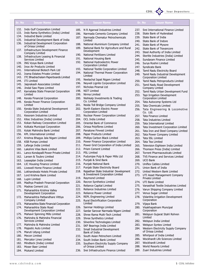

237. Srei International Finance Limited 238. State Bank of Hyderabad 239. State Bank of India 240. State Bank of Indore 241. State Bank of Mysore 242. State Bank of Travancore 243. Steel Authority of India Limited 244. Sterlite Industries (India) Limited 245. Sundaram Finance Limited 246. Surya Roshni Limited 247. Syndicate Bank

248. Tamil Nadu Electricity Board 249. Tamil Nadu Industrial Development Corporation Limited 250. Tamil Nadu Petroproducts Limited 251. Tamil Nadu Road Development Company Limted

252. Tamil Nadu Urban Development Fund 253. Tapi Irrigation Development Corporation Limited 254. Tata Autocomp Systems Ltd 255. Tata Chemicals Limited

256. Tata Engineering & Locomotive

260. Tata Investment Corporation Limited 261. Tata Iron and Steel Company Limited 262. Tata Power Company Limited

265. Television Eighteen India Limited 266. Thomson Press (India) Limited 267. Torrent Pharmaceuticals Limited 268. TVS Finance and Services Limited

275. Vanasthali Textile Industries Limited 276. Varun Shipping Company Limited

278. Vidarbha Irrigation Development

Co. Ltd. 257. Tata Finance Limited 258. Tata Industries Limited 259. Tata International Limited

263. Tata SSL Limited 264. Tata Tea Limited

269. UCO Bank

270. Uniflex Cables Limited 271. Union Bank of India 272. United Western Bank Limited 273. UTI Asset Management Company

Private Limited 274. UTI Bank Limited

277. Venus Sugar Limited

Corporation 279. Vijaya Bank

Limited 282. Welspun India Limited 283. Welspun Syntex Limted

280. Visakhapatnam Muncipal Corporation

of Orissa Limited 285. Whirlpool of India Limited 286. Wockhardt Life Sciences Limited

287. Wockhardt Limited 288. World Resorts Limited 289. Zuari Industries Limited

281. Welspun Gujarat Stahl Rohren

284. Western Electricity Supply Company

# Your Depository

# Sr. No Issuer Name Sr. No Issuer Name Sr. No Issuer Name

- 132. Indo Gulf Corporation Limited
- 133. Indo Rama Synthetics (India) Limited
- 134. IndusInd Bank Limited
- 135. Industrial Development Bank of India
- 136. Industrial Development Corporation
- of Orissa Limited 137. Infrastructure Development Finance
- Company Limited 138. Infrastructure Leasing & Financial Services Limited
- 139. ING Vysya Bank Limited
- 140. Inox Air Products Limited
- 141 International Biotech Park Ltd
- 142. Irama Estates Private Limited
- 143. ITC Bhadrachalam Paperboards Limited
- 144. ITI Limited
- 145. Jaiprakash Associates Limited
- 146. Jindal Saw Pipes Limited
- 147. Karnataka State Financial Corporation Limited
- 148. Kerala Financial Corporation
- 149. Kerala Power Finance Corporation Limited
- 150. Kerala State Industrial Development Corporation Limited
- 151. Kesoram Industries Limited
- 152. Kitec Industries (India) Limited
- 153. Kokan Railway Corporation Limited
- 154. Kolkata Municipal Corporation
- 155. Kotak Mahindra Bank Limited
- 156. KPL International Limited
- 157. Krishna Bhagya Jala Nigam Limited
- 158. KSB Pumps Limited
- 159. Lafarge India Limited
- 160. Lakshmi Vilas Bank Limited
- 161. Lanco Kondapalli Power Private Limited
- 162. Larsen & Toubro Limited
- 163. Leaseplan India Limited
- 164. LIC Housing Finance Limited
- 165. Livewell Home Finance Limited
- 166. Lokhandwala Hotels Private Limited
- 167. Lord Krishna Bank Limited
- 168. Lupin Limited
- 169. Madhya Pradesh Financial Corporation
- 170. Madras Cement Ltd.
- 171. Maharashtra Krishna Valley Development Corporation
- 172. Maharashtra Patbandhare Vittiya Company Limited
- 173. Maharashtra State Financial Corporation
- 174. Maharashtra State Road
- Development Corporation Limited 175. Mahavir Spinning Mills Limited
- 176. Mahindra & Mahindra Financial Services Limited
- 177. Mahindra & Mahindra Limited
- 178. Majestic Auto Limited
- 179. Maruti Udyog Limited
- 180. Mecon Limited
- 181. Mercator Lines Limited
- 182. Mindteck (India) Limited
- 183. Moser Baer Limted
- 184. Mukand Limited
- 185. N R Agarwal Industries Limited
- 186. Narmada Cements Company Limited
- 187. Narmada Chematur Petrochemicals Limited
- 188. National Aluminium Company Limited 189. National Bank for Agriculture and Rural
- Development
- 190. National Fertilizers Limited
- 191. National Housing Bank
- 192. National Hydroelectric Power Corporation Limited
- 193. National Textile Corporation Limited
- 194. National Thermal Power Corporation Limited
- 195. Neelachal Ispat Nigam Limited
- 196. Neyveli Lignite Corporation Limited
- 197. Nicholas Piramal Ltd
- 198. NIIT Limited
- 199. Nirma Limited
- 200. Nishkalp Investments & Trading Co. Limited
- 201. Noida Toll Bridge Company Limited
- 202. North Eastern Electric Power Corporation Limited
- 203. Nuclear Power Corporation Limited
- 204. OCL India Limited
- 205. Oriental Bank of Commerce
- 206. Orissa Polyfibres Limited
- 207. Panatone Finvest Limited
- 208. Paper Products Limited
- 209. Phillips Carbon Black Limited
- 210. Power Finance Corporation Limited
- 211. Power Grid Corporation of India Limited
- 212. Prism Cement Limited
- 213. PSL Limited
- 214. Pudumjee Pulp & Paper Mills Ltd
- 215. Punjab & Sind Bank
- 216. Punjab National Bank
- 217. Punjab State Electricity Board
- 218. Rajasthan State Industrial Development & Investment Corporation Limited
- 219. Raymond Limited
- 220. Recron Synthetics Limited
- 221. Reliance Capital Limited
- 222. Reliance Industries Limited
- 223. Reliance Power Limited
- 224. REPL Engineering Limited
- 225. Rural Electrification Corporation Limited
- 226. Sanmar Holdings Limited
- 227. Sardar Sarovar Narmada Nigam Limited

www.cdslindia.com 5 September 2021 infoline the state of the state of the state of the state of the state of the state of the state of the state of the state of the state of the state of the state of the state of the state

236. Srei Infrastructure Finance Limited

228. Shree Rama Multi-Tech Limited 229. Shree Synthetics Limited 230. Silverline Technologies Limited

231. SKF Bearings India Limited 232. Small Industrial Development Bank of India

of Orissa Limited

233. South Asian Petrochem Limited 234. South Indian Bank Limited 235. Southern Electricity Supply Company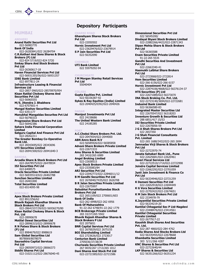CDSL **COD** Your Depository

# MUMBAI

# **ANDHERT** Anand Rathi Securities Pvt Ltd 022-56983770 Bank Of India 022-26283841/022 26284704 C.R.Kothari And Sons Shares & Stock Brokers (P) Ltd 022-824 5719/022-824 5720 Emkay Share And Stock Brokers Pvt Ltd 022-26360617-18 Haven Financial Services Pvt Ltd 022-56931355/56/022-56931357 IDBI Bank Limited 022 6977811-24 Infrastructure Leasing & Financial Services Ltd 022-2857 0965/022-28570970/954 Kisan Ratilal Choksey Shares And Securities Pvt Ltd 022-56965555 M/S. Jitendra J. Bhabhera 022-6707601-4 Mangal Keshav Securities Limited 022 6351177 Manubhai Mangaldas Securites Pvt Ltd 022-56790333 Progressive Share Brokers Pvt Ltd 022-56942386 Sahara India Financial Corporation Limited Satguru Capital And Finance Pvt Ltd 022-28262211 The Greater Bombay Co-Operative Bank Ltd. 022 28343695/022 28343696 UTI Securities Limited 022-26941500/022-26941640-3

## **BANDRA**

Arcadia Share & Stock Brokers Pvt Ltd 022-26478575/022-26478934 ISJ Securities Pvt Ltd 022-6408575 Oracle Securities Private Limited 022-56935514/022-26402788 Sunchan Securities Limited 022-26401000 Total Securities Limited 022-6514095-98

# BORIVALI

Apex Stock Brokers Private Limited 022 8912256/62 Bhavik Rajesh Khandhar Shares & Stock Brokers Pvt Ltd 022-28641537/39/022-56936270/80 Kisan Ratilal Choksey Share & Stock Pvt. Ltd 022-28990678 Motilal Oswal Securities Ltd 022-28996315/022-28990678 R N Patwa Share & Stock Brokers (P) Ltd 022 8984679/022 8988619 Sam Global Securities Ltd 8078069/8078079 Saurashtra Capital Services Pvt Ltd 022-28050972/022-28066373 Siddhi Shares Pvt Ltd 022-31021112/022-28676040-45

# Depository Participants

# **CHARNI ROAD**

Ghanshyam Shares Stock Brokers Pvt Ltd 022-22050502 Hornic Investment Pvt Ltd 022-23629476/022-23679914 S P Jain Securities Pvt Ltd 022-56352090

# **CHEMBUR**

UTI Bank Limited 022 55979292-94

# **CHURCHGATE**

J M Morgan Stanley Retail Services Pvt Ltd 55040404

# **COLABA**

Gupta Equities Pvt. Limited 022-56336387-92 Sykes & Ray Equities (India) Limited 022-2040425/0392/022-2040426

## DADAR

Maniput Investments Pvt Ltd 022 24158686 The United Western Bank Limited 022 24185285

# FORT

A.C.Choksi Share Brokers Pvt. Ltd. 022-2047654/022-2044000 ABN Amro Bank N.V 022-56585926/022-56585858 Advani Share Brokers Private Limited 022-22671533 Amu Shares & Securities Limited 265 3410/265 6989 Angel Broking Limited 022-22658515 Apex Stock Brokers Private Limited 022-2335083/84 ARJ Securities Pvt Ltd 022-22042772/022-22846011/12 B M Gandhi Securities Pvt Ltd 022 2676940/7435/022 2626708 B R Jalan Securities Private Limited 022-22675997 Babubhai Purushottamdas Stock Brokers Pvt Ltd 022 2651109/022 2700601/603 Bank Of India 022-262 6998/022-262 6956 Bank Of Maharashtra 91-22-262 6748/91-22-262 1779 BCB Brokerage Private Limited 265 33/37/265 5502 Bhavik Rajesh Khandhar Shares & Stock Brokers P Ltd 022 2075651 BNR Capital Services Pvt Ltd 022 2670029/022 2675155 BOI Shareholding Limited 022 2723626/022 2723017 Centurion Bank Limited 2705036/37/38/39 Churiwala Securities Private Limited 267 0035/267 1713/265 1012 Dani Shares And Stock Pvt Ltd 022-22721585/022-22721586

Dindayal Biyani Stock Brokers Limited 022-22882266/4422/022-22871343 Dipan Mehta Share & Stock Brokers Pvt Ltd 022-56365588 Enam Securities Private Limited 91-22-265 5535 Gandhi Securities And Investment Pvt Ltd 022-22663340-41 Hasmukh Lalbhai Share Brokers Pvt Ltd 022-2723068/022-2722814 Hem Securities Limited 022-266 6156/022-266 6157 Hornic Investment Pvt Ltd 022-22874106/4668/022-56376134-37 HTS Securities (P) Ltd 022-22671089/022-56373070 INA Stock Broking Co. Pvt. Ltd. 022-22723140/3694/022-22722681 Indusind Bank Limited 022-56366580-83 Integrated Master Securities Ltd 022 22670547/022 56318203 Inventure Growth & Securities Ltd 288 6851/417 15/53 ISJ Securities Private Limited 022-22670056-59 J G A Shah Shares Brokers Pvt Ltd 022 2657350 J G Shah Financial Consultants Pvt. Limited 022-265 1688/3432/022-265 2694 Jamnadas Virji Shares & Stock Brokers Pvt Ltd 022-22722970-74 Janata Sahakari Bank Ltd., Pune 022-22625681/022-22620461 Javeri Fiscal Services Ltd 022-22722510/1714/022-22722998 Joindre Capital Services Limited 022-22662292/022-22701059 Jyoti Jain Investment & Finance Co Pvt Ltd 022-56334946/022-22721259 K Damani Securities Pvt Ltd 022-22652918/022-22694449 K G Vora Securities Limited 022-22702422/022-22674651 K M Jain Stock Brokers Pvt Ltd 022 2334978-79 K.Jayantilal Securities Private Limited 022-56334219-20 Kantilal Chhaganlal Sec P Ltd-Nagdevi 022-23448476/022-23414561 Kantilal Chhaganlal Securities Private Limited 022-2677917-22 Kaushik Shah Shares And Securities Pvt. Ltd. 022-287 4860/022-284 4762 Kedia Shares And Stocks Brokers Ltd 022-56335455/022-22678668 Khambatta Securities Limited 303 5/11/266 4287 KNC Shares & Securities Pvt Ltd 022-22722640/44 LKP Shares & Securities Ltd

Dimensional Securities Pvt Ltd

022 56545200/

022 56351266/022-56351234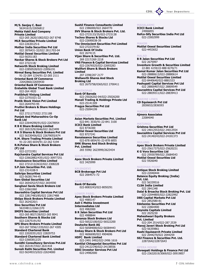CDSL **COD** Your Depository

M/S. Sanjay C. Baxi 56341615/22656812 Mehta Vakil And Company Private Limited 022-265 2620/1082/022-267 8748 MLR Securities Private Limited 022-22630125-6 Mother India Securities Pvt Ltd 022 2876431-32/022 2811703-04 Motilal Oswal Securities Limited 022-56351183 Navkar Shares & Stock Brokers Pvt Ltd 022 2722118/ Networth Stock Broking Limited 022-22850528/022-22856191 Nirmal Bang Securities Pvt. Limited 91-22-264 1234/91-22-265 2111 Oriental Bank Of Commerce 22642860/22659430 Oriental Bank Of Commerce-Erstwhile Global Trust Bank Limited 022-264 4920 Pratibhuti Viniyog Limited 022-22701021-22 Pratik Stock Vision Pvt Limited 022-2644793-95 Pruthvi Brokers & Share Holdings Pvt Ltd 022 2721177/022 2721188 Punjab And Maharashtra Co-Op Bank Ltd 022-22644290/91/022-22678954 R B K Share Broking Limited 022 2651529/2646/022 2623499 R R S Shares & Stock Brokers Pvt Ltd 022 56330456/022 22679055/674 R.M. Share Trading Private Limited 91-22-265 6034/91-22-262 5194 R.N.Patwa Share & Stock Brokers (P) Ltd 022-22721951 Rajchandra Capital Services Pvt Ltd 022-22662882/4351/022-30977251 Renaissance Securities Limited 022 2721213/2632/022 2308228 S.P.Jain Securities Pvt. Ltd. 022-2314108-9 Saikripa Securities Limited 022-56381744-45 Sam Global Securities Ltd 022 2654252/57/022 2654590 Sanghavi Savla Stock Brokers Ltd 022-22661060 Saurashtra Capital Services Pvt Ltd 022 22817483/85/022 22817488 Shilpa Stock Brokers Private Limited 022 2624220/1 Sino Securities Pvt Ltd 56334811/22661370 SMIFS Securities Limited 022-265 8027/28/022-265 8041 Southern Shares & Stocks Ltd 022-22675191/92 SPS Share Brokers Private Limited 022-267 5556/1335/022-267 4305 Standard Chartered Bank 022 22020351/022 22829753 Standard Chartered Bank Limited 022-22683812/25 Sunidhi Consultancy Services Pvt.Ltd 022 2631417/022 2631418 Suresh Rathi Securities Pvt. Limited 022-56349315/022-22634000

Sushil Finance Consultants Limited 022 2386000/022 2664770 SVV Shares & Stock Brokers Pvt. Ltd. 022-2723133/35/022-2723138 Techno Shares & Stocks Ltd 022-22690038-39 The Omniscient Securities Pvt Limited 022-2722379-82 Union Bank Of India 022 2674115 Vijan Share & Securities Pvt. Ltd. 269 2217/269 2218 VNS Finance & Capital Services Limited 022-22676525/022-22693283 Wallfort Share & Stock Brokers Limited 207 2298/207 2177 Wellworth Shares And Stock Broking Ltd 022 2675758/0365/022 2700411 **GHATKOPAR** 

Bank Of Baroda 022-25026202-04/022-25026200 Manali Trading & Holdings Private Ltd 022-25141309 Pragya Securities Pvt Ltd 022-25094199

# GOREGAON

Asian Markets Securities Pvt. Limited 022-841 3030/91-22-841 3100 ICICI Bank Limited 022 8736300 Motilal Oswal Securities Ltd 022 8727241 Renaissance Securities Limited 022-878 6854/91-22-878 6855 SMK Shares And Stock Broking Pvt. Limited 265 5590/ 2623999/2623434 **GULALWAD** 

Apex Stock Brokers Private Limited 022 3425999

# KALBADEVI

BCB Brokerage Pvt Ltd 022 2064571-72

# **KANDIVALI** Bank Of Baroda

022-8083243/022-8050291

# LOWER PAREL

Apex Stock Brokers Private Limited 022 4985147 Asit C Mehta Investment Intermediates Ltd 022 4982000 B R Jalan Securities Pvt Ltd 022 4988844 Bonanza Stock Brokers Ltd 022-56522100/022-56522200 Deutsche Bank AG 022-56584000/022-56584443 Emkay Share & Stock Brokers Pvt Ltd 022 4606690/022 4904696 HDFC Bank Limited 022-2491 0492/022-2496 1616 Kantilal Chhaganlal Securities Pvt Ltd 022-24122140/022-24138556 SSKI Investor Services Pvt Ltd 022-24982000

# MAHALAXMI

ICICI Bank Limited 24906855 Refco-Sify Securities India Pvt Ltd 022-23002999

#### MAHIM

Motilal Oswal Securities Limited 022-4453652

# MALAD

B R Jalan Securities Pvt Ltd 022 2675997 Inventure Growth & Securities Limited 22-881 6159/22-888 8270/71 Kamal Kumar Jalan Securities Pvt Ltd 022-28880613/022-28880614 Motilal Oswal Securities Limited 022-8440640/022-8881533 Pashupati Capital Services Pvt Ltd 022 28800407/022 28809549 Saurashtra Capital Services Pvt Ltd 022-28839311/022-28839413

# MARINE LINES

CD Equisearch Pvt Ltd 2830653/2836593

# MASJID BUNDER

Ajmera Associates 22084040

# **MATUNGA**

Grishma Securities Pvt Ltd 022 24012553/022 24012554 Saurashtra Capital Services Pvt Ltd 022-24140243/022-24181373

# MULUND

Apex Stock Brokers Private Limited 022-25617375/022-25620231 K G Vora Securities Ltd 022 25930789/022 25684543 Motilal Oswal Securities Ltd 022 5926040

#### **NARIMAN POINT**

Antique Stock Broking Limited 022-22040444 Balance Equity Broking (India) Pvt. Ltd. 022 56339516 CLSA India Limited 022 2841348 Dalal & Broacha Stock Broking Pvt. Ltd 022-22044805/022-22822992 DBS Capital Markets Pvt Ltd 022 2852580-81 Edelweiss Securities Pvt Ltd 022 22864400 Keynote Capitals Limited 022 2025230 Maheshwari Equity Brokers Pvt. Limited 022-204 2514/022-287 2539 Manoj Javeri Stock Broking Pvt Ltd 022-56359861 Rashi Equisearch Private Limited 022 2044270/022 2044259 SSJ Finance & Securities Pvt. Ltd. 22872642/22872643

# OPERA HOUSE

Shreepati Holdings & Finance Pvt Ltd 022-23632019/3069/022-30919857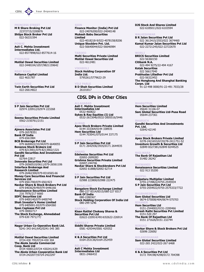

# PRINCESS STREET

M R Share Broking Pvt Ltd 22372715/2200876 Shilpa Stock Broker Pvt Ltd 022-56331594

# POWAI

Asit C. Mehta Investment Intermediates Ltd. 022-8577898/022-8577614-16

# **PYDHUNTE**

Motilal Oswal Securities Limited 022-3448104/1057/9821159642

# **REAY ROAD**

Reliance Capital Limited 022 4631787

# **SANTACRUZ**

Twin Earth Securities Pvt Ltd 022-26614822

# ABU ROAD

S P Jain Securites Pvt Ltd 02974 220912/02974 223268

#### AGRA

Seema Securities Private Limited 0562-2150761/2151

# **AHMEDARAD**

Ajmera Associates Pvt Ltd 079-26578351 Bank Of India 079-6561984 BCB Brokerage Pvt Ltd 079 6640022/33/44/079 6640055 Bonanza Stock Brokers Ltd 079-8213901/079-8213902/1321 Gandhi Securities And Investment Pvt Ltd 02764-22817 Innovate Securities Pvt Ltd 079-26560510/0611/079-26561106 Interface Brokerage And Research Limited 079-26462300/079-8316565-66 Money Care Securities And Financial Services Ltd 079 6561700/079 6561923 Navkar Share & Stock Brokers Pvt Ltd 079 6403629/49/079 6446166 Renaissance Securities Limited 216 7976/217 6660 SDFC Securities Ltd 079 6400140/079 6400740 Shah Investor's Home Limited 079 6405001-02/079 6564360 Span Caplease Pvt Ltd 079-30002717 The Stock Exchange, Ahmedabad 079-630 7971/77/

# AHMEDNAGAR

Nagar Urban Co-Operative Bank Ltd. 0241-343 641/642/0241-345 385

## AKOLA

- Motilal Oswal Securities Limited 0724-430 795/0724-430 304 The Akola Janata Commercial Coop. Bank Ltd 0724 430012/0724 430241/639 The Akola Urban Cooperative Bank Ltd
- 0724-2422077/0724-2422297

# **SION**

Finance Monitor (India) Pvt Ltd 022-24076200/022-24040148 Mukesh Babu Securities Limited 022-4018218-9/022-4078158/8206 Unique Stockbro Pvt. Ltd. 022-56640044/022-56646984

# **TARDEO**

Malti Securities Private Limited Motilal Oswal Securities Ltd 022-4612481

# VIKHROLI

Stock Holding Corporation Of India Ltd. 5795261/5779622-29

VILE PARLE B D Shah Securities Limited 26101817

# CDSL DPs in Other Cities

# ALLAHABAD

Asit C. Mehta Investment Intermediates Ltd 0532-460822 Sykes & Ray Equities (I) Ltd 0532-2613046/0532-2605516/5446

# ALWAR

Apex Stock Brokers Private Limited 0144 333364/0144 338935 Hem Securities Ltd 0144 703041/075/0144 337175

## **AMBALA CAN**

S P Jain Securities Pvt Ltd 0171 2642936/3935/0171 2644935

# ANAND

Edelweiss Securities Pvt Ltd 02692-2699283 Grishma Securities Private Limited

02697-244746 Navkar Share & Stockbrokers Pvt Ltd

02692 61888/02692 62714

# BALOTRA

S P Jain Securities Pvt Ltd 02988 223800/02988 222475

# **BANGALOR**

Bangalore Stock Exchange Limited 080-227 8314/8315/080-227 8317 Bank Of India 080-2280367

Stock Holding Corporation Of India Ltd 080-299 5246

# BARDOLI

#### Kisan Ratilal Choksey Shares & Securities Pvt Ltd

02622-220914/4914/02622-226914

BAREILLY Siddhi Shares Private Limited 0581 429344/0581 429352

# BHATINDA K & A Securities Pvt Ltd

0164-253136/0164-252459

# BELGAUM

Asit C Mehta Investment Intermediates Ltd 0831-2466432

DJS Stock And Shares Limited 022-6185011/022-6103594

# WALKESHWAR

B R Jalan Securities Pvt Ltd 022 3613415/2553/022 3674460 Kamal Kumar Jalan Securities Pvt Ltd 022-22721245/022-22722670

# WORLI

BRICS Securities Limited 022-56360150 Citibank N.A. 022-494 9275/22-494 4167 Kotak Securities 022 56617040 Prabhudas Lilladher Pvt Ltd 022-56322452 The Hongkong And Shanghai Banking Corpn. Ltd 91-22-498 0000/91-22-491 7033/28

# BHARATPUR

Hem Securities Limited 05644 31106-07 Sam Global Securities Ltd-Pusa Road 05644-237361

# **BHARUCH**

Gandhi Securities And Investments Pvt. Ltd. 02642-62140

# **BHAVNAGAI**

Apex Stock Brokers Private Limited 0278-2421653/67/0278-2411751-52 Inventure Growth & Securities Ltd 02849 8327381/02849 8244525

#### **BHILWAR**

The Bank Of Rajasthan Ltd 01482 26242

# **BHIWANDI**

Renaissance Securities Limited 022 913 55200

# **BHOPAL**

Kalpataru Multiplier Limited 0755-2739822/0755-2545934 S P Jain Securities Pvt Ltd

# 0755-2554922/0755-2575333/7722

# **BHURANESWAR**

Sam Global Securities Ltd 0674-575008/404/0674-575703 BIKANER

# Hem Securities Ltd

0151-2544002/0151-2200466 Suresh Rathi Securities Pvt Limited 0151-520 297 The Bank Of Rajasthan Ltd

# 0151 271626/0151 232744

# **BORSAD**

Navkar Share & Stock Brokers Pvt Ltd 02696 22600/

## **BULANDSHAHAR**

Sam Global Securities Limited 022-265 2422/022-267 6468

**HANDIGAR** K & A Securities Pvt Ltd 0172 704198/4298/0172 704398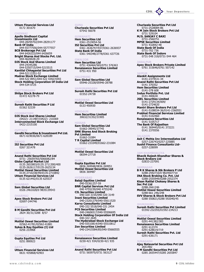

# Uttam Financial Services Ltd 0172 301670

**CHENNAI** Apollo Sindhoori Capital Investments Ltd 044-28294702/044-28291177 Bank Of India 044-55777556/044-55777557 BCB Brokerage Pvt Ltd 044 6426323/044 6426659 Bright Shares And Stocks Pvt. Ltd. 044-4620028-29 DJS Stock And Shares Limited 044-24345286 044-5250715/044-5215515 Kantilal Chhaganlal Securities Pvt Ltd 044-52113351-52 Madras Stock Exchange Limited 044-522 8951/044-522 4392/4393 Stock Holding Corporation Of India Ltd 044-534 0725

#### **DCADL** Shilpa Stock Brokers Pvt Ltd 01472 42278-79

CHURU Suresh Rathi Securities P Ltd 01562 52339

#### **COIMBATORE**

DJS Stock And Shares Limited (0422)- 211487/(0422)- 210369 Interconnected Stock Exchange Ltd 0422-2315100

# **CUTTACK**

Gandhi Securities & Investment Pvt Ltd. 0671-619036/0671-628189

# DAHOD

ISJ Securities Pvt Ltd 0267 321478

## **DEHRADUN**

Anand Rathi Securities Pvt Ltd 0731- 25659765/5066082/84 Globe Capital Market Ltd 0135 2653803/0135 2711300/400 0135-2626117/0135-2625134 Motilal Oswal Securities Limited 0135-2710238/49/0135-2710842 Uttam Financial Services Ltd 0135 621442/0135 625537

#### **DHANRAF**

Sam Global Securities Ltd 0326 2461028/0 9835139543

#### DHARMA<sup>'</sup>

Apex Stock Brokers Pvt Ltd 02697-244746

# DHORAJI

B M Gandhi Securities Pvt Ltd 2824 30/31/3288 8/57

# DHULE

Motilal Oswal Securities Limited 02562-41781/02562-41881 Sykes & Ray Equities (I) Ltd 0256 233968

## DOMBIVLI (THANE)

Gupta Equities Pvt Ltd 0251 890923

# GAYA

Uttam Financial Services Ltd 0631 435868/42903

#### **GUNA** Churiwala Securities Pvt Ltd 07542 56078

GUWAHATI Hem Securities Ltd 0361-2519054-56 ISJ Securities Pvt Ltd 0361 2636747/937/0361-2636937 State Bank Of India 0361 540348/2778/0361 637726

#### GWALIOR

Hem Securities Ltd 0751 436464/565/0751 576363 Renaissance Securities Limited 0751-431 950

**HALDWAN** Sam Global Securities Ltd 05946-25328/05946-28788

# HANUMANGARH Suresh Rathi Securities Pvt Ltd 01552-24738

HARDWAR

Motilal Oswal Securities Ltd 0133 450930

# **HINDAUN**

Hem Securities Limited 30632/31352/31905

## **HISSA**

Sam Global Securities Ltd 01662-39045/37745 SMK Shares And Stock Broking Pvt Limited 01662-31084 T R Capital Limited 01662-231049/01662-231084

# HOSPET

Motilal Oswal Securities Ltd 08394-27718

## **HUBL**

Gupta Equities Pvt Ltd 0836 269948/0836 269951 Motilal Oswal Securities Ltd 0836 369487

# HYDERABAD

Balaji Equities Limited 040-55361257-59 BNR Capital Services Pvt Ltd 040 4755239/040 4755240 CIL Securities Limited 040-320 3155/040-320 3149 Inani Securities Limited 040-23201279/040-55611520 Karvy Consultants Limited 040-332 5518/040-331 2454 PCS Securities Limited 040-24606517/040-55506695 Stock Holding Corporation Of India Ltd 040-322 2645 The Hyderabad Stock Exchange Ltd 040-55510814/040-55510812 Zen Securities Limited

040-23415584/85/040-55660555

# ICHALKRANJI

Renaissance Securities Limited 0230-421 934/0230-421 935

# INDORE

Anand Rathi Securities Pvt Ltd 0731 565975/0731 563127

#### Churiwala Securities Pvt Ltd 0731-2528084-86 K M Jain Stock Brokers Pvt Ltd 0731 529104 M/S. SANJAY C BAXI 0731-2560751 MPSE Securities Limited 0731 432842-48 State Bank Of India 0731-702 736 State Bank Of Indore 0731-548 318/0731-544 464

JABALPUR

Apex Stock Brokers Private Limited 0761 315646/0761 507142

# JAIPUR

Alankit Assignments Ltd 0141-2374531-34 Anand Rathi Securities Pvt Ltd 0141 370352 Hem Securities Limited 0141-378 608 Indus Portfolio Pvt. Ltd 0141-400630 JSEL Securities Limited 0141-2729134/009/ 0141-2724620 Mantri Share Brokers Pvt Ltd 0141-5108034-36/0141-2360551 Prabhat Financial Services Limited 0141-5102460 Renaissance Securities Ltd 0141 5105717 The Bank Of Rajasthan 0141 369445/0141 372221 0141 2370556

JALGAON

Asit C Mehta Inv Intermediates Ltd 0257-226743/0257-225885 Sushil Finance Consultants Ltd-0257-228099

## JAM KHAMBHALIYA

Bhavik Rajesh Khandhar Shares & Stock Brokers Ltd 02833-237091

# JAMNAGAR

B R K Shares & Stk Brokers P Ltd 0288-2592710/0 9824507710 INA Stock Broking Co. Pvt. Ltd 0288-2555949/0288-2552374 Kisan Ratilal Choksey Shares & Sec Pvt Ltd 0288-2661246 Motilal Oswal Securities Limited

0288-661 246/248 SVV Shares & Stock Brokers Pvt Ltd 0288 550821/0288 592040/45

# JHUNJHUNU

Suresh Rathi Securities Pvt Limited 01592-232355/01592-234213

# JODHPUR

Motilal Oswal Securities Limited 0291-441382/383 Renaissance Securities Limited 0291 612374 0291-628619/719 Suresh Rathi Securities Pvt. Ltd

0291-636171

# **NAGADH**

Ajay Natavarlal Securities Pvt Ltd 2651482

B M Gandhi Securities Pvt Ltd 0285 2655447/0285 2655847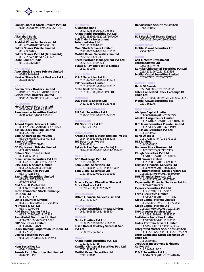CDSL COD. Your Depository

Emkay Share & Stock Brokers Pvt Ltd 0285-2627889/9489/0285-2641042

#### KANPUR

Allahabad Bank 0512-2331217 Prabhat Financial Services Ltd 0512-2541828/0512-2541838 Siddhi Shares Private Limited 0512 305203/ Siddhi Shares Pvt Ltd (Birhana Rd) 0512-2357258/0512-2354229 State Bank Of India 0512 303123/874

# **KHAMRHAT**

02698 20565

Apex Stock Brokers Private Limited 02698 24401-02 Navkar Share & Stock Brokers Pvt Ltd

KOCHI

Cochin Stock Brokers Limited 0484 401898/3913/0484 400044 Select Stock Brokers Limited 0484-2371550/0484-2361014/3576

# KOLHAPUR

Motilal Oswal Securities Ltd 0231 660713/0231 650171 Renaissance Securities Limited 0231 660713/0231 650171

#### KOLKATI

Accord Capital Markets Limited 033-476 2125/5404/033-475 0828 Ashika Stock Broking Limited 033-22215031-32 Bank Of Baroda-Ballygunge 033-24409585/033-24407518 Bank Of India 033 22485703/1973 CD Equisearch Private Limited 033 2805601-02 Dalmia Securities Limited 033-2806544-49 Dimensional Securities Pvt Ltd 033 2207948/033 2102650-52 DJS Stock & Shares Limited 033-2206269/033-2484288 Dynamic Equities Pvt Ltd 033 4742158-62 East India Securities Limited 033-334 5527/5689/ 033-321 8069 G M Bosu & Co Pvt Ltd 033 4662822/033 4664363 Inter-Connected Stock Exchange Of India Ltd 033-22213392 Lohia Securities Limited 033-210 8722/033-210 7993/95 M Prasad & Co. Ltd 033 4792700-01 R M Share Trading Pvt Ltd 033 2103860/033 2103862 Sam Global Securities Limited 033-221 1096/033-221 1097 SKP Securities Limited 033-2828719/8793 Stock Holding Corporation Of India Ltd 033-226 2030 Vedika Securities Pvt Ltd 033 2231245/033 2233642/43

# KOTA

Hem Securities Ltd 0744 2451026 Suresh Rathi Securities Pvt Limited 0744-361 155

# **LUCKNOW**

Allahabad Bank 0522-2288559/0522-228885 Anand Rathi Securities Pvt Ltd 0522 282303/0522 217547/426 Asit C Mehta Investment Intermediates Ltd

0522-2259284/087 Mani Stock Brokers Limited

0522-2635244/0522-2635151 Motilal Oswal Securities Limited 0522-2204471-74

Seeta Portfolio Management Pvt Ltd 0522-2321196/4224

Sykes & Ray Equities (I) Limited 0522 331196

#### LUDHIANA

K & A Securities Pvt Ltd 0161-2406111/0161-2431419 LSE Securities Limited 0161-2772316/0161-2772315 State Bank Of India 0161-449 080/0161-449 081

MADIID/

DJS Stock & Shares Ltd 0452-2335776/0452-2337555

# **MANDI GOBINDGAR**

S P Jain Securities Pvt Ltd 01765-257721/01765-241300

#### **MANDSAUR**

ISJ Securites Pvt Ltd 07422-243051

#### MANGALORE

Arcadia Share & Stock Brokers Pvt Ltd 0824-2429614/0824-5268296 ISJ Securities Pvt Ltd 0824 429614 Sykes & Ray Equities (India) Ltd 0824-2218561/8737/0824-5269477

#### MEERUT

BCB Brokerage Pvt Ltd 0121 660001/24 Sam Global Securities Ltd 0121-663644/0121-644529/9684 Sam Global Securities Ltd 0121-2642127/0121-3101950

## MITHAPUR

Bhavik Rajesh Khandhar Shares & Stock Brokers Pvt Ltd 02892 26934/9824238220

#### MORADABAD

Uttam Financial Services Limited 0591-2317427

# **MUZAFFARPUR**

B R Jalan Securities Private Limited 0621-266839/0621-266840

# NADIAD

Gupta Equities Pvt Ltd 0268-2569953/0268-2560130 Kisan Ratilal Choksey Shares & Sec Pvt Ltd 0268-29020/24/26/

# **NAGP**

Anand Rathi Securities Pvt. Ltd. 0712-814721-25 Kantilal Chhganlal Securities Pvt. Ltd 0712 5659035

Motilal Oswal Securities Ltd 0712 538181

# Renaissance Securities Limited 0712 241062

## **NAMAKKA**

DJS Stock And Shares Limited 04286-231944/04286-232436

#### **NANDURAD**

Motilal Oswal Securities Ltd 2564 50/57

# NASIK

Asit C Mehta Investment Intermediates Ltd 0253 454174-75 Kantilal Chhaganlal Securities Pvt Ltd 0253 572196/0253 5727696 Motilal Oswal Securities Limited 0253-579201/0253-574782 **NAVE MUMBA** 

# Bank Of Baroda

022-770 9854/022-771 0951 Inter-Connected Stock Exchange Of India Ltd 022 7812056/58/59/022 7812062/392-3 Motilal Oswal Securities Ltd 022 7661278 NEW DELHI Abhipra Capital Limited 011-52390909/011-52390725 Alankit Assignments Limited 011-23610220-24/011-23611846-50 B R Jalan Securities Private Limited 011-26514050/011-26511919 B R Jalan Securities Pvt Ltd 011 3241992 Bank Of India 011 3721843-44/011 3731113 BLB Limited 011-30968120 Bonanza Stock Brokers Ltd 011-23242022/9871282122 Chugh Securities Pvt Ltd 011-51881027/011 51881028 CNB Finwiz Limited 011-23290015/011-23290007 Crimson Financial Services Ltd 011-30969890/011-30969895 D B (International) Stock Brokers Ltd. 011-23353795-97/011-55302069 DSE Financial Services Ltd 011-23292173/011-23278922 Exponential Financial Services Pvt Ltd 011-27477302-305 Express Securities Pvt Ltd 011 3326940/011 3279479 Fortis Securities Limited 011-51512000/011-51516326 Globe Capital Market Limited 011 3720887/89/91/011 3720891 Globe Capital Market Ltd 011-22540897/99/011-22018116 IKM Investor Services Ltd 011 25881801/011 25882332 Indiabulls Securities Limited 011 51778000/011 51778051 Indus Portfolio Private Limited 011 5457390/011 5449517/9862 Integrated Master Securities Limited 011-3322136/2143/011-3322187/2259 Inter Connected Stock Exchange Of India Ltd 011-27864150 Jyoti Jain Investment & Finance Co Pvt Ltd 011 24656819-20

K & A Securities Pvt Ltd 011-51603333/011-51628410-16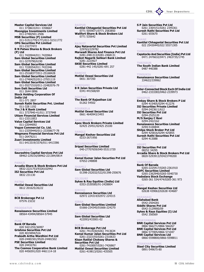

Master Capital Services Ltd 011 3738633/011 3358667 Moongipa Investments Limited 011-27482501-2506 MSB Securities (P) Limited 011-51511770/1771/011-51511772 OPG Securities Pvt Limited 011-23277472 R N Patwa Shares & Stock Brokers (P) Ltd 011 7420944/011 7420964 Sam Global Securities Limited 011-3270790/6190 Sam Global Securities Limited 011 7228354/011 7433346 Sam Global Securities Limited 011-25168377/011-25168428 Sam Global Securities Limited 011-27404252/011-27931119 Sam Global Securities Limited 011-55271510/011-22482076-79 Som Datt Securities Ltd 011 2644 0896 Stock Holding Corporation Of India Ltd 011-371 2807 Suresh Rathi Securities Pvt. Limited 011-328 1192 The J & K Bank Limited 011 3737940-41/011 3737948 Uttam Financial Services Limited 011-23311853 Value Capital Services Ltd 011-22044092 Vogue Commercial Co. Ltd. 011-23359440/011-23358677-78 Wegmans Financial Services Pvt Ltd 011-26476211 Zuari Investments Limited 011 6413319/3376/011 6413386

# **NIZAMARAD**

Saurashtra Capital Services Pvt Ltd 08462-229216/08462-221384/0814

# PANAJI

Arcadia Share & Stock Brokers Pvt Ltd 0832-2221753/9326102942 ISJ Securities Pvt Ltd 0832 231130

PATNA Motilal Oswal Securities Ltd 0612 201625/26/22

**PIPARAYA** BCB Brokerage Pvt Lt 07576 23232

PRODDATUR Renaissance Securities Limited 08564-43494/08564-57945

#### **PUNE**

Bank Of Baroda 020 5421255/36997 Grishma Securities Pvt Ltd 020 4019494/516 Prabodh Artha Wardhini Pvt Ltd 020-24481501/9520-24481502 PSE Securities Limited 020 24432761 The Cosmos Cooperative Bank Limited

020 4456591/020 4461114-18

# RAIPUR

Kantilal Chhaganlal Securities Pvt Ltd 0771 5059071/0771 2583850 Wallfort Share & Stock Brokers Ltd 0771 535642

# RAJKOT

Ajay Natavarlal Securities Pvt Limited 229763/229782 Marwadi Shares And Finance Pvt Ltd 0281-2481313/0281-2468131 Rajkot Nagarik Sahkari Bank Limited 0281 2223927 SKSE Securities Limited 0281-442 145/0281-691 257

RANCHI Motilal Oswal Securities Ltd 0651 307350

RANIGANJ B R Jalan Securities Private Ltd 0341-441568/69

ROHTAK The Bank Of Rajasthan Ltd 01262 54502

ROURKELA Motilal Oswal Securities Ltd 0661 4640943/3493

**SANGAMNE** Apex Stock Brokers Private Limited 02425 25451/02425 25100

**SANGL** Mangal Keshav Securities Ltd 0233-2671956

**SECUNDERABAD** Sripad Securities Limited 040-27707659/040-55311720

#### **HAHD**

Kamal Kumar Jalan Securties Pvt Ltd 07652-248808

**SHAM** Sam Global Securities Ltd 01398-252032/522/01398-250676

**STI TGURI** Sykes & Ray Equities (India) Ltd 0353-2530585/91-2428804

**STROH** Rennaisance Securities Ltd 02972 224314/02972 224315

SIRSA Sam Global Securities Limtied 01666-234345/01666-224270

# SRIGANGANAGAR

Sam Global Securities Ltd 422093/433001-02

# SURAT

BCB Brokerage Pvt Ltd 0261 7413530/0261 7413634 Kamal Kumar Jalan Securities Pvt Ltd 0261-2323193/0261-2310633 Kisan Ratilal Choksey Shares & Securities Pvt Ltd 0261-7410007/0261-7426867

Motilal Oswal Securities Limited 0261-419813/0261-435505

S P Jain Securities Pvt Ltd 0261 2364151/0261 2345361 Suresh Rathi Securities Pvt Ltd 0261 655670

THANE

Kantilal Chhaganlal Securities Pvt Ltd 022 25430445/022 55571305

# THIRUVANANTHAPURAM

Capstocks And Securities (India) Pvt Ltd 0471 2476632/0471 2463735/1745

THRISSU

The South Indian Bank Limited 0487 440388

TINSUKIA

Renaissance Securities Limited 334622/339062

# TIRUNELVELI

Inter-Connected Stock Exch Of India Ltd 0462-2333383/0462-2339973

UDAIPUR

Emkay Share & Stock Brokers P Ltd 0294 415405/0294 412276 ISJ Securities Private Limited 0294-2423611/612 ISJ Securities Pvt Ltd 0294-2525120 M/S Sanjay C Baxi 0294-2422162 Renaissance Securities Limited 0294-5100844 Shilpa Stock Broker Pvt Ltd 0294 425816/0294 425855 Suresh Rathi Securities Pvt Ltd 0294 413088

UDUPI

ISJ Securities Pvt Ltd 08252 34295 Arcadia Share & Stock Brokers Pvt Ltd 0820-5293913/93423749200

VADODARA

Bank Of Baroda 0265-2225417/0265-2361910 SDFC Securities Limited 0265-2362940/0265-5540730 Vadodara Stock Exchange 0265-361 534/474/0265-361 973

#### VAPI

Mangal Keshav Securities Ltd 02638 439063/02638 434687

# VARANASI

Allahabad Bank 0542-2504281 Siddhi Shares Pvt Ltd 0542-3129900/09 Sykes & Rays Equities (I) Ltd 0542 356569

# VIJAYAWADA

BNR Capital Services Pvt Ltd 0866 566271/0866 566267 BNR Capital Services Pvt Ltd 0866 577005/0866 571047 BNR Capital Services Ltd 0866-5598800/0866-5598811

#### VISAKHAPATNA

Steel City Securities Limited 0891-549675-80